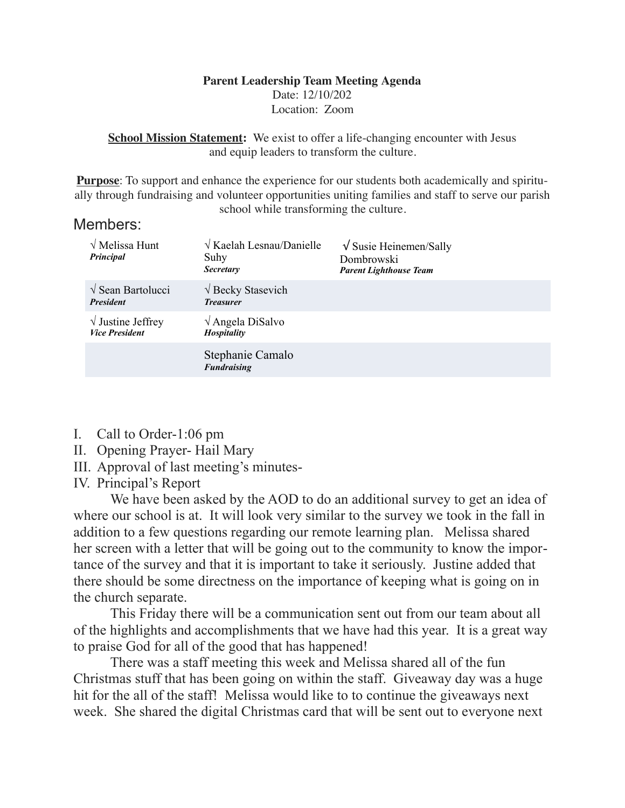## **Parent Leadership Team Meeting Agenda** Date: 12/10/202 Location: Zoom

**School Mission Statement:** We exist to offer a life-changing encounter with Jesus and equip leaders to transform the culture.

**Purpose**: To support and enhance the experience for our students both academically and spiritually through fundraising and volunteer opportunities uniting families and staff to serve our parish school while transforming the culture.

## Members:

| $\sqrt{\text{Melissa Hunt}}$<br>Principal           | $\sqrt{K$ aelah Lesnau/Danielle<br>Suhy<br><b>Secretary</b> | $\sqrt{\text{Susie Heinem}}$ Sally<br>Dombrowski<br><b>Parent Lighthouse Team</b> |  |
|-----------------------------------------------------|-------------------------------------------------------------|-----------------------------------------------------------------------------------|--|
| $\sqrt{\text{Sean Bartolucci}}$<br><b>President</b> | $\sqrt{\text{Becky}}$ Stasevich<br><b>Treasurer</b>         |                                                                                   |  |
| $\sqrt{}$ Justine Jeffrey<br><b>Vice President</b>  | $\sqrt{\text{Angle}}$ DiSalvo<br>Hospitality                |                                                                                   |  |
|                                                     | Stephanie Camalo<br><b>Fundraising</b>                      |                                                                                   |  |

- I. Call to Order-1:06 pm
- II. Opening Prayer- Hail Mary
- III. Approval of last meeting's minutes-
- IV. Principal's Report

 We have been asked by the AOD to do an additional survey to get an idea of where our school is at. It will look very similar to the survey we took in the fall in addition to a few questions regarding our remote learning plan. Melissa shared her screen with a letter that will be going out to the community to know the importance of the survey and that it is important to take it seriously. Justine added that there should be some directness on the importance of keeping what is going on in the church separate.

 This Friday there will be a communication sent out from our team about all of the highlights and accomplishments that we have had this year. It is a great way to praise God for all of the good that has happened!

 There was a staff meeting this week and Melissa shared all of the fun Christmas stuff that has been going on within the staff. Giveaway day was a huge hit for the all of the staff! Melissa would like to to continue the giveaways next week. She shared the digital Christmas card that will be sent out to everyone next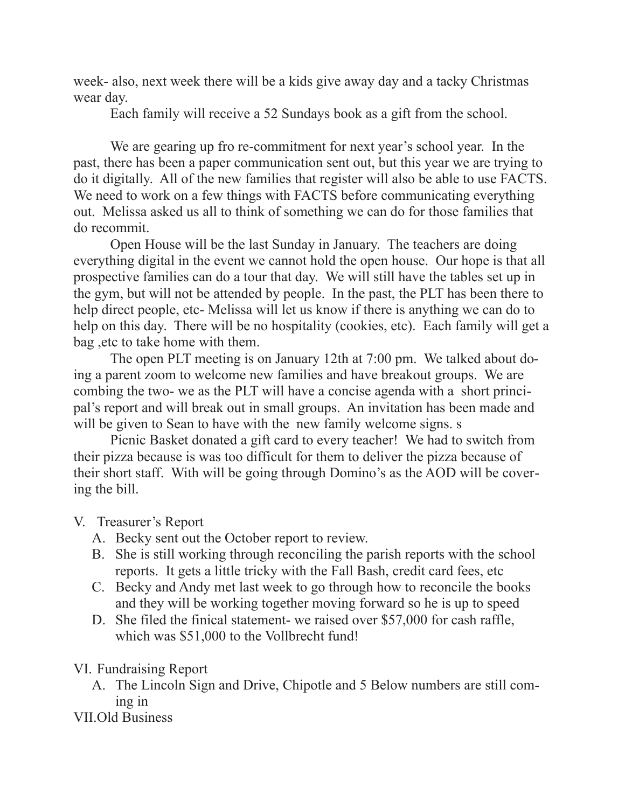week- also, next week there will be a kids give away day and a tacky Christmas wear day.

Each family will receive a 52 Sundays book as a gift from the school.

 We are gearing up fro re-commitment for next year's school year. In the past, there has been a paper communication sent out, but this year we are trying to do it digitally. All of the new families that register will also be able to use FACTS. We need to work on a few things with FACTS before communicating everything out. Melissa asked us all to think of something we can do for those families that do recommit.

 Open House will be the last Sunday in January. The teachers are doing everything digital in the event we cannot hold the open house. Our hope is that all prospective families can do a tour that day. We will still have the tables set up in the gym, but will not be attended by people. In the past, the PLT has been there to help direct people, etc- Melissa will let us know if there is anything we can do to help on this day. There will be no hospitality (cookies, etc). Each family will get a bag ,etc to take home with them.

 The open PLT meeting is on January 12th at 7:00 pm. We talked about doing a parent zoom to welcome new families and have breakout groups. We are combing the two- we as the PLT will have a concise agenda with a short principal's report and will break out in small groups. An invitation has been made and will be given to Sean to have with the new family welcome signs. s

 Picnic Basket donated a gift card to every teacher! We had to switch from their pizza because is was too difficult for them to deliver the pizza because of their short staff. With will be going through Domino's as the AOD will be covering the bill.

## V. Treasurer's Report

- A. Becky sent out the October report to review.
- B. She is still working through reconciling the parish reports with the school reports. It gets a little tricky with the Fall Bash, credit card fees, etc
- C. Becky and Andy met last week to go through how to reconcile the books and they will be working together moving forward so he is up to speed
- D. She filed the finical statement- we raised over \$57,000 for cash raffle, which was \$51,000 to the Vollbrecht fund!

## VI. Fundraising Report

A. The Lincoln Sign and Drive, Chipotle and 5 Below numbers are still coming in

VII.Old Business